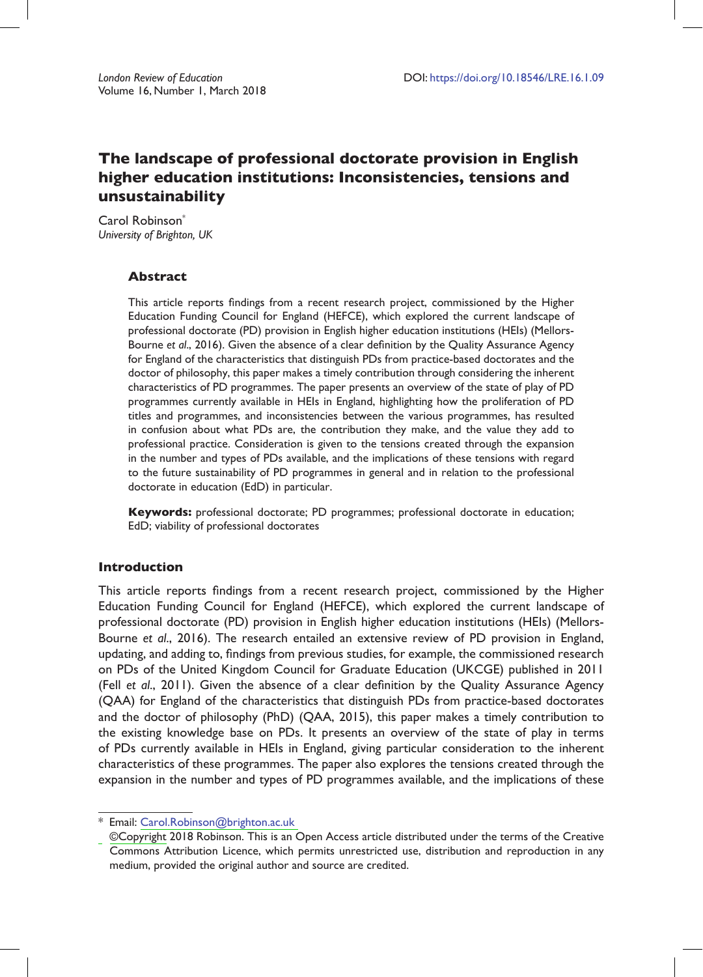# **The landscape of professional doctorate provision in English higher education institutions: Inconsistencies, tensions and unsustainability**

Carol Robinson<sup>\*</sup> *University of Brighton, UK*

# **Abstract**

This article reports findings from a recent research project, commissioned by the Higher Education Funding Council for England (HEFCE), which explored the current landscape of professional doctorate (PD) provision in English higher education institutions (HEIs) (Mellors-Bourne *et al*., 2016). Given the absence of a clear definition by the Quality Assurance Agency for England of the characteristics that distinguish PDs from practice-based doctorates and the doctor of philosophy, this paper makes a timely contribution through considering the inherent characteristics of PD programmes. The paper presents an overview of the state of play of PD programmes currently available in HEIs in England, highlighting how the proliferation of PD titles and programmes, and inconsistencies between the various programmes, has resulted in confusion about what PDs are, the contribution they make, and the value they add to professional practice. Consideration is given to the tensions created through the expansion in the number and types of PDs available, and the implications of these tensions with regard to the future sustainability of PD programmes in general and in relation to the professional doctorate in education (EdD) in particular.

**Keywords:** professional doctorate; PD programmes; professional doctorate in education; EdD; viability of professional doctorates

## **Introduction**

This article reports findings from a recent research project, commissioned by the Higher Education Funding Council for England (HEFCE), which explored the current landscape of professional doctorate (PD) provision in English higher education institutions (HEIs) (Mellors-Bourne *et al*., 2016). The research entailed an extensive review of PD provision in England, updating, and adding to, findings from previous studies, for example, the commissioned research on PDs of the United Kingdom Council for Graduate Education (UKCGE) published in 2011 (Fell *et al*., 2011). Given the absence of a clear definition by the Quality Assurance Agency (QAA) for England of the characteristics that distinguish PDs from practice-based doctorates and the doctor of philosophy (PhD) (QAA, 2015), this paper makes a timely contribution to the existing knowledge base on PDs. It presents an overview of the state of play in terms of PDs currently available in HEIs in England, giving particular consideration to the inherent characteristics of these programmes. The paper also explores the tensions created through the expansion in the number and types of PD programmes available, and the implications of these

<sup>\*</sup> Email: [Carol.Robinson@brighton.ac.uk](mailto:Carol.Robinson@brighton.ac.uk)

[<sup>©</sup>Copyright](mailto:Carol.Robinson@brighton.ac.uk) 2018 Robinson. This is an Open Access article distributed under the terms of the Creative Commons Attribution Licence, which permits unrestricted use, distribution and reproduction in any medium, provided the original author and source are credited.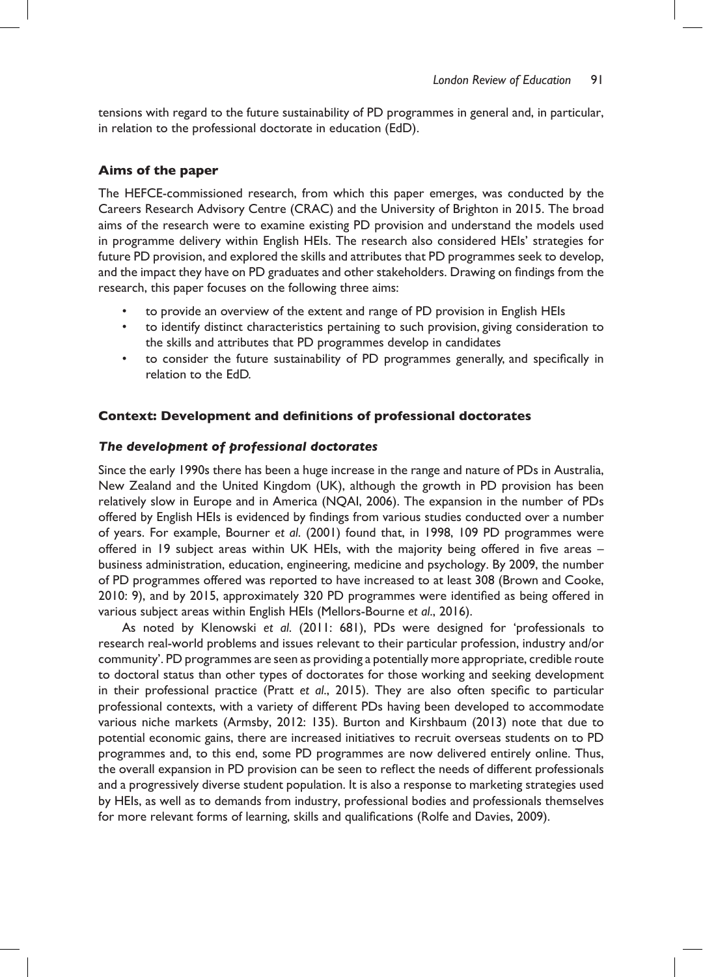tensions with regard to the future sustainability of PD programmes in general and, in particular, in relation to the professional doctorate in education (EdD).

## **Aims of the paper**

The HEFCE-commissioned research, from which this paper emerges, was conducted by the Careers Research Advisory Centre (CRAC) and the University of Brighton in 2015. The broad aims of the research were to examine existing PD provision and understand the models used in programme delivery within English HEIs. The research also considered HEIs' strategies for future PD provision, and explored the skills and attributes that PD programmes seek to develop, and the impact they have on PD graduates and other stakeholders. Drawing on findings from the research, this paper focuses on the following three aims:

- to provide an overview of the extent and range of PD provision in English HEIs
- to identify distinct characteristics pertaining to such provision, giving consideration to the skills and attributes that PD programmes develop in candidates
- to consider the future sustainability of PD programmes generally, and specifically in relation to the EdD.

# **Context: Development and definitions of professional doctorates**

#### *The development of professional doctorates*

Since the early 1990s there has been a huge increase in the range and nature of PDs in Australia, New Zealand and the United Kingdom (UK), although the growth in PD provision has been relatively slow in Europe and in America (NQAI, 2006). The expansion in the number of PDs offered by English HEIs is evidenced by findings from various studies conducted over a number of years. For example, Bourner *et al*. (2001) found that, in 1998, 109 PD programmes were offered in 19 subject areas within UK HEIs, with the majority being offered in five areas – business administration, education, engineering, medicine and psychology. By 2009, the number of PD programmes offered was reported to have increased to at least 308 (Brown and Cooke, 2010: 9), and by 2015, approximately 320 PD programmes were identified as being offered in various subject areas within English HEIs (Mellors-Bourne *et al*., 2016).

As noted by Klenowski *et al*. (2011: 681), PDs were designed for 'professionals to research real-world problems and issues relevant to their particular profession, industry and/or community'. PD programmes are seen as providing a potentially more appropriate, credible route to doctoral status than other types of doctorates for those working and seeking development in their professional practice (Pratt *et al*., 2015). They are also often specific to particular professional contexts, with a variety of different PDs having been developed to accommodate various niche markets (Armsby, 2012: 135). Burton and Kirshbaum (2013) note that due to potential economic gains, there are increased initiatives to recruit overseas students on to PD programmes and, to this end, some PD programmes are now delivered entirely online. Thus, the overall expansion in PD provision can be seen to reflect the needs of different professionals and a progressively diverse student population. It is also a response to marketing strategies used by HEIs, as well as to demands from industry, professional bodies and professionals themselves for more relevant forms of learning, skills and qualifications (Rolfe and Davies, 2009).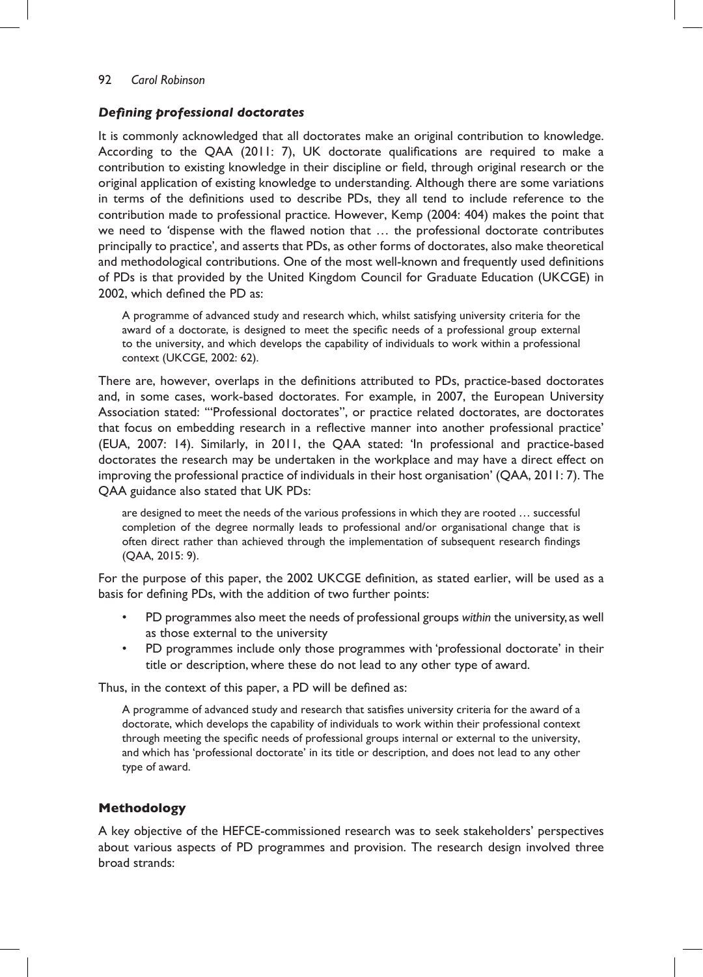# *Defining professional doctorates*

It is commonly acknowledged that all doctorates make an original contribution to knowledge. According to the QAA (2011: 7), UK doctorate qualifications are required to make a contribution to existing knowledge in their discipline or field, through original research or the original application of existing knowledge to understanding. Although there are some variations in terms of the definitions used to describe PDs, they all tend to include reference to the contribution made to professional practice. However, Kemp (2004: 404) makes the point that we need to *'*dispense with the flawed notion that … the professional doctorate contributes principally to practice'*,* and asserts that PDs, as other forms of doctorates, also make theoretical and methodological contributions. One of the most well-known and frequently used definitions of PDs is that provided by the United Kingdom Council for Graduate Education (UKCGE) in 2002, which defined the PD as:

A programme of advanced study and research which, whilst satisfying university criteria for the award of a doctorate, is designed to meet the specific needs of a professional group external to the university, and which develops the capability of individuals to work within a professional context (UKCGE, 2002: 62).

There are, however, overlaps in the definitions attributed to PDs, practice-based doctorates and, in some cases, work-based doctorates. For example, in 2007, the European University Association stated: '"Professional doctorates", or practice related doctorates, are doctorates that focus on embedding research in a reflective manner into another professional practice' (EUA, 2007: 14). Similarly, in 2011, the QAA stated: 'In professional and practice-based doctorates the research may be undertaken in the workplace and may have a direct effect on improving the professional practice of individuals in their host organisation' (QAA, 2011: 7). The QAA guidance also stated that UK PDs:

are designed to meet the needs of the various professions in which they are rooted … successful completion of the degree normally leads to professional and/or organisational change that is often direct rather than achieved through the implementation of subsequent research findings (QAA, 2015: 9).

For the purpose of this paper, the 2002 UKCGE definition, as stated earlier, will be used as a basis for defining PDs, with the addition of two further points:

- PD programmes also meet the needs of professional groups *within* the university, as well as those external to the university
- PD programmes include only those programmes with 'professional doctorate' in their title or description, where these do not lead to any other type of award.

Thus, in the context of this paper, a PD will be defined as:

A programme of advanced study and research that satisfies university criteria for the award of a doctorate, which develops the capability of individuals to work within their professional context through meeting the specific needs of professional groups internal or external to the university, and which has 'professional doctorate' in its title or description, and does not lead to any other type of award.

# **Methodology**

A key objective of the HEFCE-commissioned research was to seek stakeholders' perspectives about various aspects of PD programmes and provision. The research design involved three broad strands: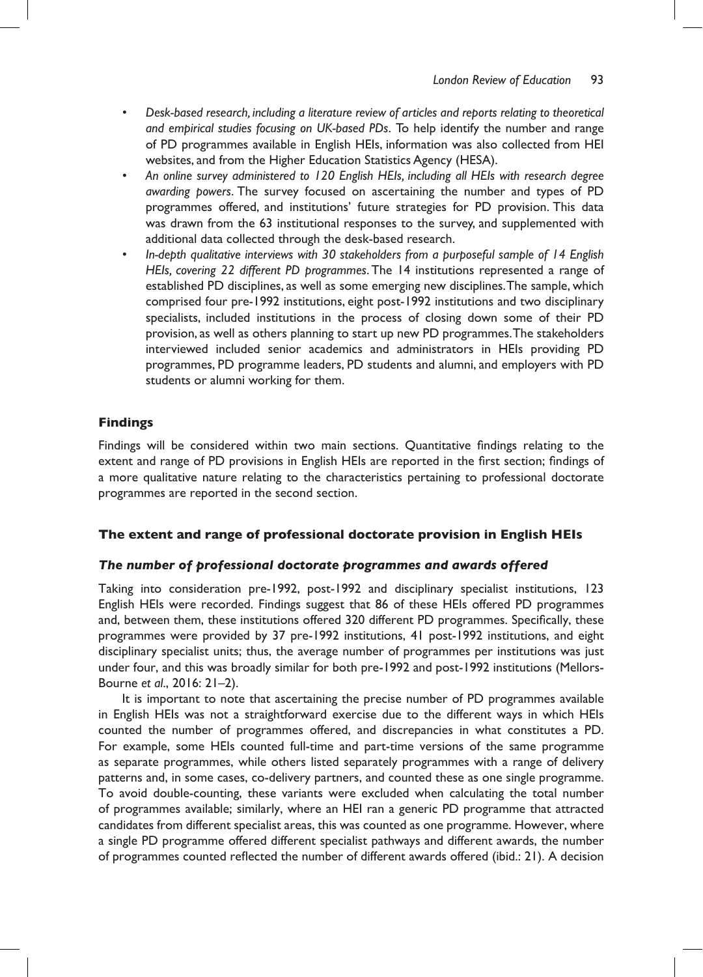- *• Desk-based research, including a literature review of articles and reports relating to theoretical and empirical studies focusing on UK-based PDs*. To help identify the number and range of PD programmes available in English HEIs, information was also collected from HEI websites, and from the Higher Education Statistics Agency (HESA).
- *• An online survey administered to 120 English HEIs, including all HEIs with research degree awarding powers*. The survey focused on ascertaining the number and types of PD programmes offered, and institutions' future strategies for PD provision. This data was drawn from the 63 institutional responses to the survey, and supplemented with additional data collected through the desk-based research.
- *• In-depth qualitative interviews with 30 stakeholders from a purposeful sample of 14 English HEIs, covering 22 different PD programmes*. The 14 institutions represented a range of established PD disciplines, as well as some emerging new disciplines. The sample, which comprised four pre-1992 institutions, eight post-1992 institutions and two disciplinary specialists, included institutions in the process of closing down some of their PD provision, as well as others planning to start up new PD programmes. The stakeholders interviewed included senior academics and administrators in HEIs providing PD programmes, PD programme leaders, PD students and alumni, and employers with PD students or alumni working for them.

# **Findings**

Findings will be considered within two main sections. Quantitative findings relating to the extent and range of PD provisions in English HEIs are reported in the first section; findings of a more qualitative nature relating to the characteristics pertaining to professional doctorate programmes are reported in the second section.

## **The extent and range of professional doctorate provision in English HEIs**

## *The number of professional doctorate programmes and awards offered*

Taking into consideration pre-1992, post-1992 and disciplinary specialist institutions, 123 English HEIs were recorded. Findings suggest that 86 of these HEIs offered PD programmes and, between them, these institutions offered 320 different PD programmes. Specifically, these programmes were provided by 37 pre-1992 institutions, 41 post-1992 institutions, and eight disciplinary specialist units; thus, the average number of programmes per institutions was just under four, and this was broadly similar for both pre-1992 and post-1992 institutions (Mellors-Bourne *et al*., 2016: 21–2).

It is important to note that ascertaining the precise number of PD programmes available in English HEIs was not a straightforward exercise due to the different ways in which HEIs counted the number of programmes offered, and discrepancies in what constitutes a PD. For example, some HEIs counted full-time and part-time versions of the same programme as separate programmes, while others listed separately programmes with a range of delivery patterns and, in some cases, co-delivery partners, and counted these as one single programme. To avoid double-counting, these variants were excluded when calculating the total number of programmes available; similarly, where an HEI ran a generic PD programme that attracted candidates from different specialist areas, this was counted as one programme. However, where a single PD programme offered different specialist pathways and different awards, the number of programmes counted reflected the number of different awards offered (ibid.: 21). A decision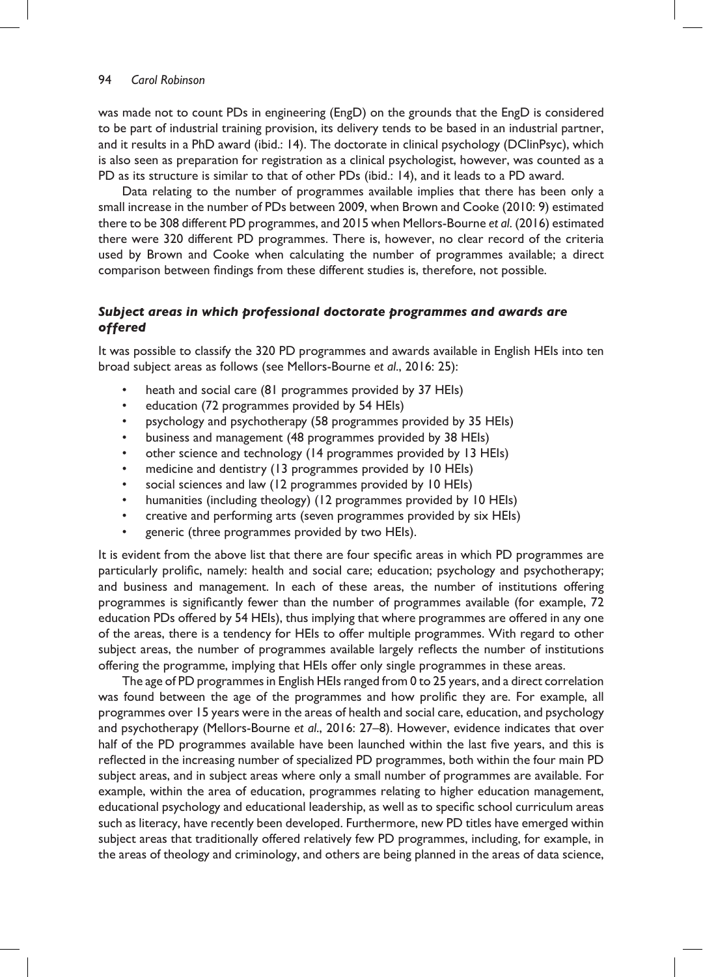was made not to count PDs in engineering (EngD) on the grounds that the EngD is considered to be part of industrial training provision, its delivery tends to be based in an industrial partner, and it results in a PhD award (ibid.: 14). The doctorate in clinical psychology (DClinPsyc), which is also seen as preparation for registration as a clinical psychologist, however, was counted as a PD as its structure is similar to that of other PDs (ibid.: 14), and it leads to a PD award.

Data relating to the number of programmes available implies that there has been only a small increase in the number of PDs between 2009, when Brown and Cooke (2010: 9) estimated there to be 308 different PD programmes, and 2015 when Mellors-Bourne *et al*. (2016) estimated there were 320 different PD programmes. There is, however, no clear record of the criteria used by Brown and Cooke when calculating the number of programmes available; a direct comparison between findings from these different studies is, therefore, not possible.

## *Subject areas in which professional doctorate programmes and awards are offered*

It was possible to classify the 320 PD programmes and awards available in English HEIs into ten broad subject areas as follows (see Mellors-Bourne *et al*., 2016: 25):

- heath and social care (81 programmes provided by 37 HEIs)
- education (72 programmes provided by 54 HEIs)
- psychology and psychotherapy (58 programmes provided by 35 HEIs)
- business and management (48 programmes provided by 38 HEIs)
- other science and technology (14 programmes provided by 13 HEIs)
- medicine and dentistry (13 programmes provided by 10 HEIs)
- social sciences and law (12 programmes provided by 10 HEIs)
- humanities (including theology) (12 programmes provided by 10 HEIs)
- creative and performing arts (seven programmes provided by six HEIs)
- generic (three programmes provided by two HEIs).

It is evident from the above list that there are four specific areas in which PD programmes are particularly prolific, namely: health and social care; education; psychology and psychotherapy; and business and management. In each of these areas, the number of institutions offering programmes is significantly fewer than the number of programmes available (for example, 72 education PDs offered by 54 HEIs), thus implying that where programmes are offered in any one of the areas, there is a tendency for HEIs to offer multiple programmes. With regard to other subject areas, the number of programmes available largely reflects the number of institutions offering the programme, implying that HEIs offer only single programmes in these areas.

The age of PD programmes in English HEIs ranged from 0 to 25 years, and a direct correlation was found between the age of the programmes and how prolific they are. For example, all programmes over 15 years were in the areas of health and social care, education, and psychology and psychotherapy (Mellors-Bourne *et al*., 2016: 27–8). However, evidence indicates that over half of the PD programmes available have been launched within the last five years, and this is reflected in the increasing number of specialized PD programmes, both within the four main PD subject areas, and in subject areas where only a small number of programmes are available. For example, within the area of education, programmes relating to higher education management, educational psychology and educational leadership, as well as to specific school curriculum areas such as literacy, have recently been developed. Furthermore, new PD titles have emerged within subject areas that traditionally offered relatively few PD programmes, including, for example, in the areas of theology and criminology, and others are being planned in the areas of data science,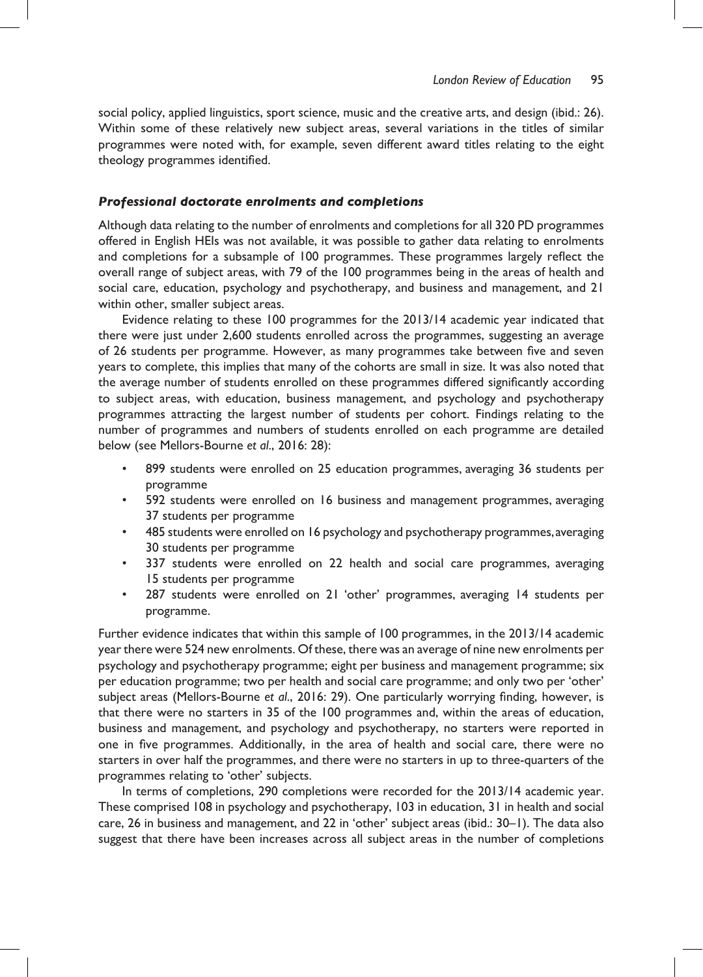social policy, applied linguistics, sport science, music and the creative arts, and design (ibid.: 26). Within some of these relatively new subject areas, several variations in the titles of similar programmes were noted with, for example, seven different award titles relating to the eight theology programmes identified.

#### *Professional doctorate enrolments and completions*

Although data relating to the number of enrolments and completions for all 320 PD programmes offered in English HEIs was not available, it was possible to gather data relating to enrolments and completions for a subsample of 100 programmes. These programmes largely reflect the overall range of subject areas, with 79 of the 100 programmes being in the areas of health and social care, education, psychology and psychotherapy, and business and management, and 21 within other, smaller subject areas.

Evidence relating to these 100 programmes for the 2013/14 academic year indicated that there were just under 2,600 students enrolled across the programmes, suggesting an average of 26 students per programme. However, as many programmes take between five and seven years to complete, this implies that many of the cohorts are small in size. It was also noted that the average number of students enrolled on these programmes differed significantly according to subject areas, with education, business management, and psychology and psychotherapy programmes attracting the largest number of students per cohort. Findings relating to the number of programmes and numbers of students enrolled on each programme are detailed below (see Mellors-Bourne *et al*., 2016: 28):

- 899 students were enrolled on 25 education programmes, averaging 36 students per programme
- 592 students were enrolled on 16 business and management programmes, averaging 37 students per programme
- 485 students were enrolled on 16 psychology and psychotherapy programmes, averaging 30 students per programme
- 337 students were enrolled on 22 health and social care programmes, averaging 15 students per programme
- 287 students were enrolled on 21 'other' programmes, averaging 14 students per programme.

Further evidence indicates that within this sample of 100 programmes, in the 2013/14 academic year there were 524 new enrolments. Of these, there was an average of nine new enrolments per psychology and psychotherapy programme; eight per business and management programme; six per education programme; two per health and social care programme; and only two per 'other' subject areas (Mellors-Bourne *et al*., 2016: 29). One particularly worrying finding, however, is that there were no starters in 35 of the 100 programmes and, within the areas of education, business and management, and psychology and psychotherapy, no starters were reported in one in five programmes. Additionally, in the area of health and social care, there were no starters in over half the programmes, and there were no starters in up to three-quarters of the programmes relating to 'other' subjects.

In terms of completions, 290 completions were recorded for the 2013/14 academic year. These comprised 108 in psychology and psychotherapy, 103 in education, 31 in health and social care, 26 in business and management, and 22 in 'other' subject areas (ibid.: 30–1). The data also suggest that there have been increases across all subject areas in the number of completions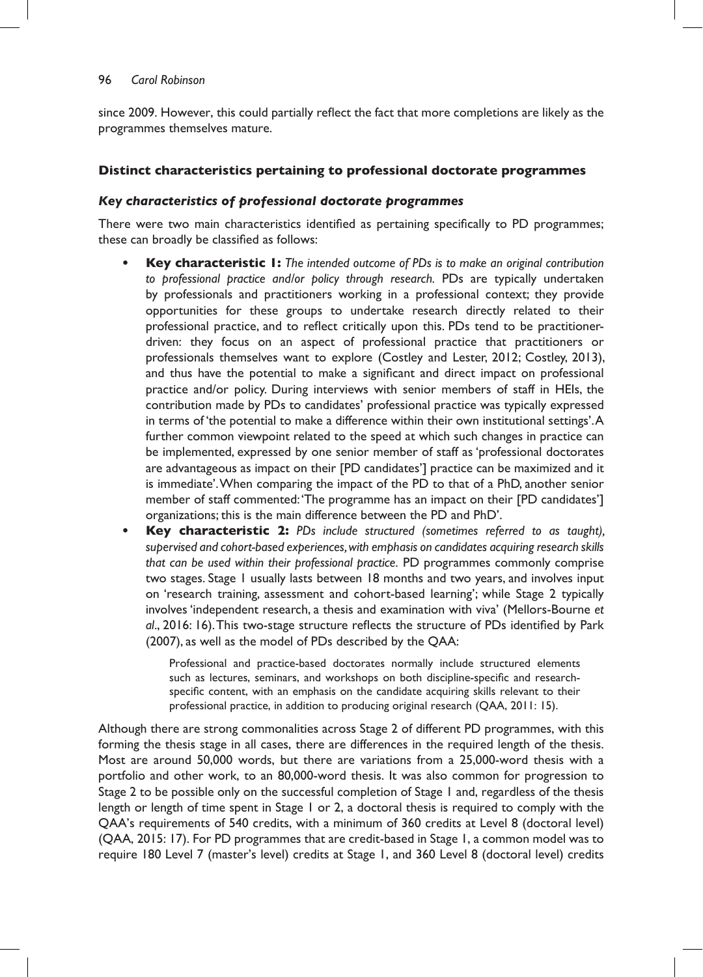since 2009. However, this could partially reflect the fact that more completions are likely as the programmes themselves mature.

# **Distinct characteristics pertaining to professional doctorate programmes**

#### *Key characteristics of professional doctorate programmes*

There were two main characteristics identified as pertaining specifically to PD programmes; these can broadly be classified as follows:

- **• Key characteristic 1:** *The intended outcome of PDs is to make an original contribution to professional practice and/or policy through research.* PDs are typically undertaken by professionals and practitioners working in a professional context; they provide opportunities for these groups to undertake research directly related to their professional practice, and to reflect critically upon this. PDs tend to be practitionerdriven: they focus on an aspect of professional practice that practitioners or professionals themselves want to explore (Costley and Lester, 2012; Costley, 2013), and thus have the potential to make a significant and direct impact on professional practice and/or policy. During interviews with senior members of staff in HEIs, the contribution made by PDs to candidates' professional practice was typically expressed in terms of 'the potential to make a difference within their own institutional settings'. A further common viewpoint related to the speed at which such changes in practice can be implemented, expressed by one senior member of staff as 'professional doctorates are advantageous as impact on their [PD candidates'] practice can be maximized and it is immediate'. When comparing the impact of the PD to that of a PhD, another senior member of staff commented: 'The programme has an impact on their [PD candidates'] organizations; this is the main difference between the PD and PhD'.
- **• Key characteristic 2:** *PDs include structured (sometimes referred to as taught), supervised and cohort-based experiences, with emphasis on candidates acquiring research skills that can be used within their professional practice.* PD programmes commonly comprise two stages. Stage 1 usually lasts between 18 months and two years, and involves input on 'research training, assessment and cohort-based learning'; while Stage 2 typically involves 'independent research, a thesis and examination with viva' (Mellors-Bourne *et al*., 2016: 16). This two-stage structure reflects the structure of PDs identified by Park (2007), as well as the model of PDs described by the QAA:

Professional and practice-based doctorates normally include structured elements such as lectures, seminars, and workshops on both discipline-specific and researchspecific content, with an emphasis on the candidate acquiring skills relevant to their professional practice, in addition to producing original research (QAA, 2011: 15).

Although there are strong commonalities across Stage 2 of different PD programmes, with this forming the thesis stage in all cases, there are differences in the required length of the thesis. Most are around 50,000 words, but there are variations from a 25,000-word thesis with a portfolio and other work, to an 80,000-word thesis. It was also common for progression to Stage 2 to be possible only on the successful completion of Stage 1 and, regardless of the thesis length or length of time spent in Stage 1 or 2, a doctoral thesis is required to comply with the QAA's requirements of 540 credits, with a minimum of 360 credits at Level 8 (doctoral level) (QAA, 2015: 17). For PD programmes that are credit-based in Stage 1, a common model was to require 180 Level 7 (master's level) credits at Stage 1, and 360 Level 8 (doctoral level) credits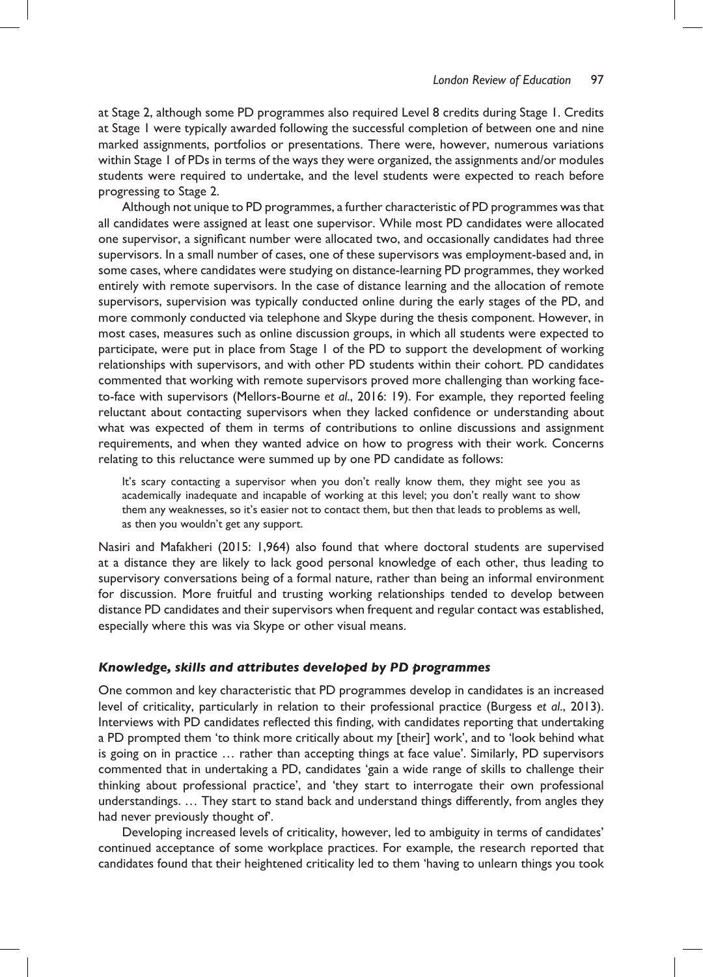at Stage 2, although some PD programmes also required Level 8 credits during Stage 1. Credits at Stage 1 were typically awarded following the successful completion of between one and nine marked assignments, portfolios or presentations. There were, however, numerous variations within Stage 1 of PDs in terms of the ways they were organized, the assignments and/or modules students were required to undertake, and the level students were expected to reach before progressing to Stage 2.

Although not unique to PD programmes, a further characteristic of PD programmes was that all candidates were assigned at least one supervisor. While most PD candidates were allocated one supervisor, a significant number were allocated two, and occasionally candidates had three supervisors. In a small number of cases, one of these supervisors was employment-based and, in some cases, where candidates were studying on distance-learning PD programmes, they worked entirely with remote supervisors. In the case of distance learning and the allocation of remote supervisors, supervision was typically conducted online during the early stages of the PD, and more commonly conducted via telephone and Skype during the thesis component. However, in most cases, measures such as online discussion groups, in which all students were expected to participate, were put in place from Stage 1 of the PD to support the development of working relationships with supervisors, and with other PD students within their cohort. PD candidates commented that working with remote supervisors proved more challenging than working faceto-face with supervisors (Mellors-Bourne *et al*., 2016: 19). For example, they reported feeling reluctant about contacting supervisors when they lacked confidence or understanding about what was expected of them in terms of contributions to online discussions and assignment requirements, and when they wanted advice on how to progress with their work. Concerns relating to this reluctance were summed up by one PD candidate as follows:

It's scary contacting a supervisor when you don't really know them, they might see you as academically inadequate and incapable of working at this level; you don't really want to show them any weaknesses, so it's easier not to contact them, but then that leads to problems as well, as then you wouldn't get any support.

Nasiri and Mafakheri (2015: 1,964) also found that where doctoral students are supervised at a distance they are likely to lack good personal knowledge of each other, thus leading to supervisory conversations being of a formal nature, rather than being an informal environment for discussion. More fruitful and trusting working relationships tended to develop between distance PD candidates and their supervisors when frequent and regular contact was established, especially where this was via Skype or other visual means.

## *Knowledge, skills and attributes developed by PD programmes*

One common and key characteristic that PD programmes develop in candidates is an increased level of criticality, particularly in relation to their professional practice (Burgess *et al*., 2013). Interviews with PD candidates reflected this finding, with candidates reporting that undertaking a PD prompted them 'to think more critically about my [their] work', and to 'look behind what is going on in practice … rather than accepting things at face value'. Similarly, PD supervisors commented that in undertaking a PD, candidates 'gain a wide range of skills to challenge their thinking about professional practice', and 'they start to interrogate their own professional understandings. … They start to stand back and understand things differently, from angles they had never previously thought of'.

Developing increased levels of criticality, however, led to ambiguity in terms of candidates' continued acceptance of some workplace practices. For example, the research reported that candidates found that their heightened criticality led to them 'having to unlearn things you took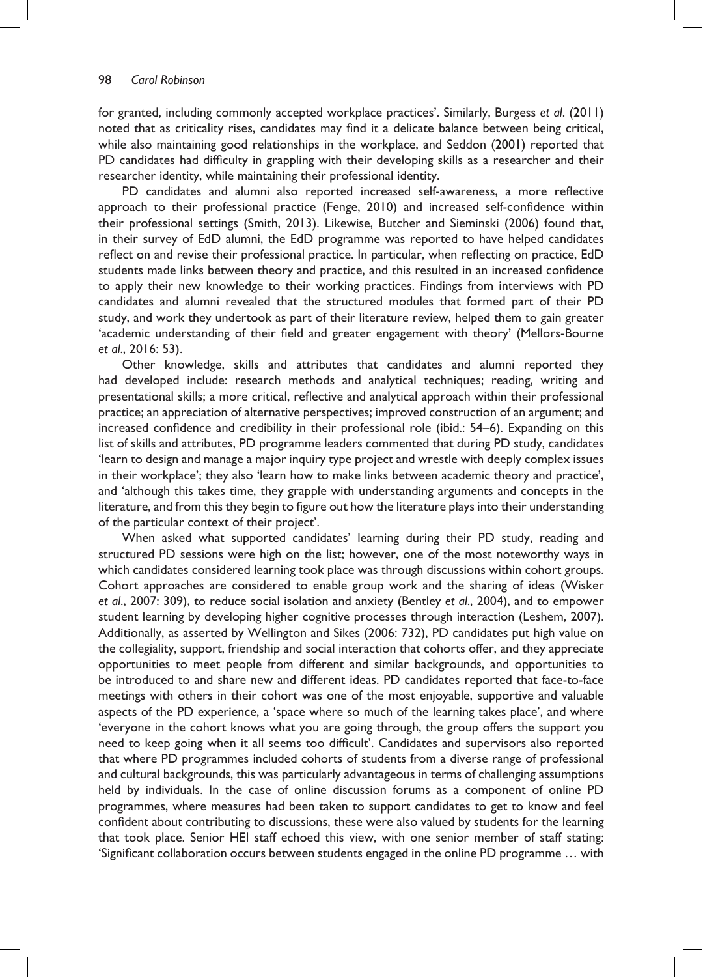for granted, including commonly accepted workplace practices'. Similarly, Burgess *et al*. (2011) noted that as criticality rises, candidates may find it a delicate balance between being critical, while also maintaining good relationships in the workplace, and Seddon (2001) reported that PD candidates had difficulty in grappling with their developing skills as a researcher and their researcher identity, while maintaining their professional identity.

PD candidates and alumni also reported increased self-awareness, a more reflective approach to their professional practice (Fenge, 2010) and increased self-confidence within their professional settings (Smith, 2013). Likewise, Butcher and Sieminski (2006) found that, in their survey of EdD alumni, the EdD programme was reported to have helped candidates reflect on and revise their professional practice. In particular, when reflecting on practice, EdD students made links between theory and practice, and this resulted in an increased confidence to apply their new knowledge to their working practices. Findings from interviews with PD candidates and alumni revealed that the structured modules that formed part of their PD study, and work they undertook as part of their literature review, helped them to gain greater 'academic understanding of their field and greater engagement with theory' (Mellors-Bourne *et al*., 2016: 53).

Other knowledge, skills and attributes that candidates and alumni reported they had developed include: research methods and analytical techniques; reading, writing and presentational skills; a more critical, reflective and analytical approach within their professional practice; an appreciation of alternative perspectives; improved construction of an argument; and increased confidence and credibility in their professional role (ibid.: 54–6). Expanding on this list of skills and attributes, PD programme leaders commented that during PD study, candidates 'learn to design and manage a major inquiry type project and wrestle with deeply complex issues in their workplace'; they also 'learn how to make links between academic theory and practice', and 'although this takes time, they grapple with understanding arguments and concepts in the literature, and from this they begin to figure out how the literature plays into their understanding of the particular context of their project'.

When asked what supported candidates' learning during their PD study, reading and structured PD sessions were high on the list; however, one of the most noteworthy ways in which candidates considered learning took place was through discussions within cohort groups. Cohort approaches are considered to enable group work and the sharing of ideas (Wisker *et al*., 2007: 309), to reduce social isolation and anxiety (Bentley *et al*., 2004), and to empower student learning by developing higher cognitive processes through interaction (Leshem, 2007). Additionally, as asserted by Wellington and Sikes (2006: 732), PD candidates put high value on the collegiality, support, friendship and social interaction that cohorts offer, and they appreciate opportunities to meet people from different and similar backgrounds, and opportunities to be introduced to and share new and different ideas. PD candidates reported that face-to-face meetings with others in their cohort was one of the most enjoyable, supportive and valuable aspects of the PD experience, a 'space where so much of the learning takes place', and where 'everyone in the cohort knows what you are going through, the group offers the support you need to keep going when it all seems too difficult'. Candidates and supervisors also reported that where PD programmes included cohorts of students from a diverse range of professional and cultural backgrounds, this was particularly advantageous in terms of challenging assumptions held by individuals. In the case of online discussion forums as a component of online PD programmes, where measures had been taken to support candidates to get to know and feel confident about contributing to discussions, these were also valued by students for the learning that took place. Senior HEI staff echoed this view, with one senior member of staff stating: 'Significant collaboration occurs between students engaged in the online PD programme … with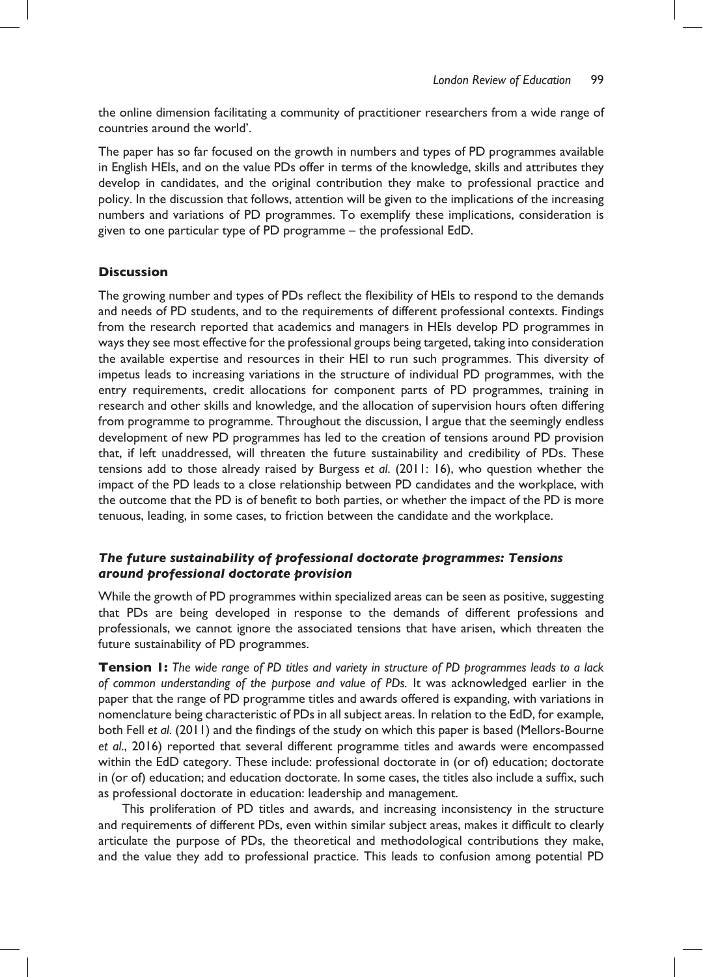the online dimension facilitating a community of practitioner researchers from a wide range of countries around the world'.

The paper has so far focused on the growth in numbers and types of PD programmes available in English HEIs, and on the value PDs offer in terms of the knowledge, skills and attributes they develop in candidates, and the original contribution they make to professional practice and policy. In the discussion that follows, attention will be given to the implications of the increasing numbers and variations of PD programmes. To exemplify these implications, consideration is given to one particular type of PD programme – the professional EdD.

# **Discussion**

The growing number and types of PDs reflect the flexibility of HEIs to respond to the demands and needs of PD students, and to the requirements of different professional contexts. Findings from the research reported that academics and managers in HEIs develop PD programmes in ways they see most effective for the professional groups being targeted, taking into consideration the available expertise and resources in their HEI to run such programmes. This diversity of impetus leads to increasing variations in the structure of individual PD programmes, with the entry requirements, credit allocations for component parts of PD programmes, training in research and other skills and knowledge, and the allocation of supervision hours often differing from programme to programme. Throughout the discussion, I argue that the seemingly endless development of new PD programmes has led to the creation of tensions around PD provision that, if left unaddressed, will threaten the future sustainability and credibility of PDs. These tensions add to those already raised by Burgess *et al*. (2011: 16), who question whether the impact of the PD leads to a close relationship between PD candidates and the workplace, with the outcome that the PD is of benefit to both parties, or whether the impact of the PD is more tenuous, leading, in some cases, to friction between the candidate and the workplace.

# *The future sustainability of professional doctorate programmes: Tensions around professional doctorate provision*

While the growth of PD programmes within specialized areas can be seen as positive, suggesting that PDs are being developed in response to the demands of different professions and professionals, we cannot ignore the associated tensions that have arisen, which threaten the future sustainability of PD programmes.

**Tension 1:** *The wide range of PD titles and variety in structure of PD programmes leads to a lack of common understanding of the purpose and value of PDs.* It was acknowledged earlier in the paper that the range of PD programme titles and awards offered is expanding, with variations in nomenclature being characteristic of PDs in all subject areas. In relation to the EdD, for example, both Fell *et al*. (2011) and the findings of the study on which this paper is based (Mellors-Bourne *et al*., 2016) reported that several different programme titles and awards were encompassed within the EdD category. These include: professional doctorate in (or of) education; doctorate in (or of) education; and education doctorate. In some cases, the titles also include a suffix, such as professional doctorate in education: leadership and management.

This proliferation of PD titles and awards, and increasing inconsistency in the structure and requirements of different PDs, even within similar subject areas, makes it difficult to clearly articulate the purpose of PDs, the theoretical and methodological contributions they make, and the value they add to professional practice. This leads to confusion among potential PD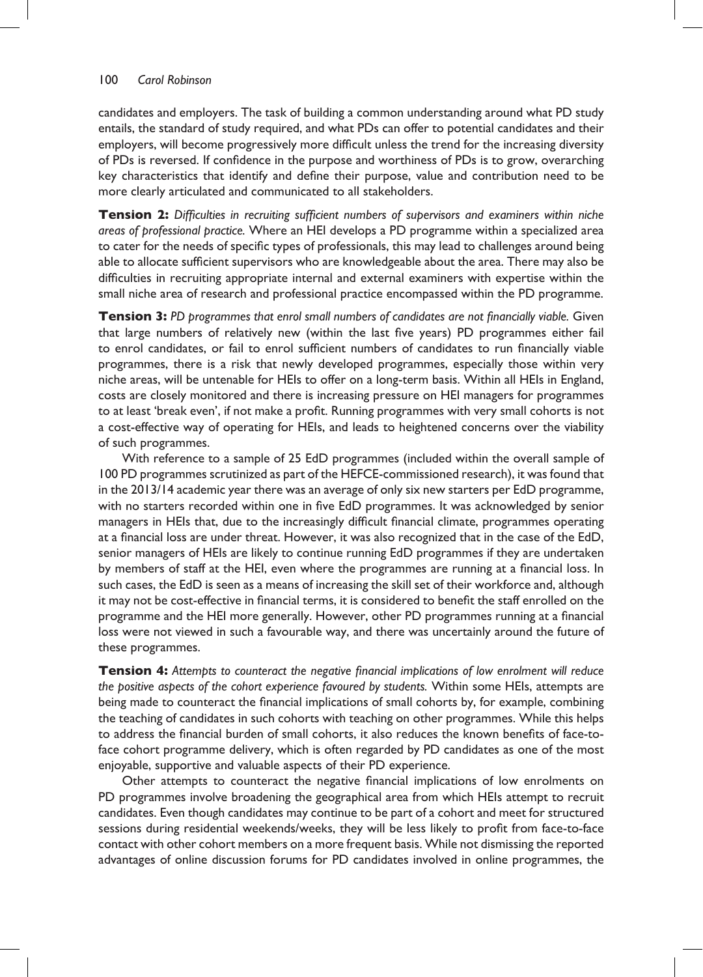candidates and employers. The task of building a common understanding around what PD study entails, the standard of study required, and what PDs can offer to potential candidates and their employers, will become progressively more difficult unless the trend for the increasing diversity of PDs is reversed. If confidence in the purpose and worthiness of PDs is to grow, overarching key characteristics that identify and define their purpose, value and contribution need to be more clearly articulated and communicated to all stakeholders.

**Tension 2:** *Difficulties in recruiting sufficient numbers of supervisors and examiners within niche areas of professional practice.* Where an HEI develops a PD programme within a specialized area to cater for the needs of specific types of professionals, this may lead to challenges around being able to allocate sufficient supervisors who are knowledgeable about the area. There may also be difficulties in recruiting appropriate internal and external examiners with expertise within the small niche area of research and professional practice encompassed within the PD programme.

**Tension 3:** *PD programmes that enrol small numbers of candidates are not financially viable.* Given that large numbers of relatively new (within the last five years) PD programmes either fail to enrol candidates, or fail to enrol sufficient numbers of candidates to run financially viable programmes, there is a risk that newly developed programmes, especially those within very niche areas, will be untenable for HEIs to offer on a long-term basis. Within all HEIs in England, costs are closely monitored and there is increasing pressure on HEI managers for programmes to at least 'break even', if not make a profit. Running programmes with very small cohorts is not a cost-effective way of operating for HEIs, and leads to heightened concerns over the viability of such programmes.

With reference to a sample of 25 EdD programmes (included within the overall sample of 100 PD programmes scrutinized as part of the HEFCE-commissioned research), it was found that in the 2013/14 academic year there was an average of only six new starters per EdD programme, with no starters recorded within one in five EdD programmes. It was acknowledged by senior managers in HEIs that, due to the increasingly difficult financial climate, programmes operating at a financial loss are under threat. However, it was also recognized that in the case of the EdD, senior managers of HEIs are likely to continue running EdD programmes if they are undertaken by members of staff at the HEI, even where the programmes are running at a financial loss. In such cases, the EdD is seen as a means of increasing the skill set of their workforce and, although it may not be cost-effective in financial terms, it is considered to benefit the staff enrolled on the programme and the HEI more generally. However, other PD programmes running at a financial loss were not viewed in such a favourable way, and there was uncertainly around the future of these programmes.

**Tension 4:** *Attempts to counteract the negative financial implications of low enrolment will reduce the positive aspects of the cohort experience favoured by students.* Within some HEIs, attempts are being made to counteract the financial implications of small cohorts by, for example, combining the teaching of candidates in such cohorts with teaching on other programmes. While this helps to address the financial burden of small cohorts, it also reduces the known benefits of face-toface cohort programme delivery, which is often regarded by PD candidates as one of the most enjoyable, supportive and valuable aspects of their PD experience.

Other attempts to counteract the negative financial implications of low enrolments on PD programmes involve broadening the geographical area from which HEIs attempt to recruit candidates. Even though candidates may continue to be part of a cohort and meet for structured sessions during residential weekends/weeks, they will be less likely to profit from face-to-face contact with other cohort members on a more frequent basis. While not dismissing the reported advantages of online discussion forums for PD candidates involved in online programmes, the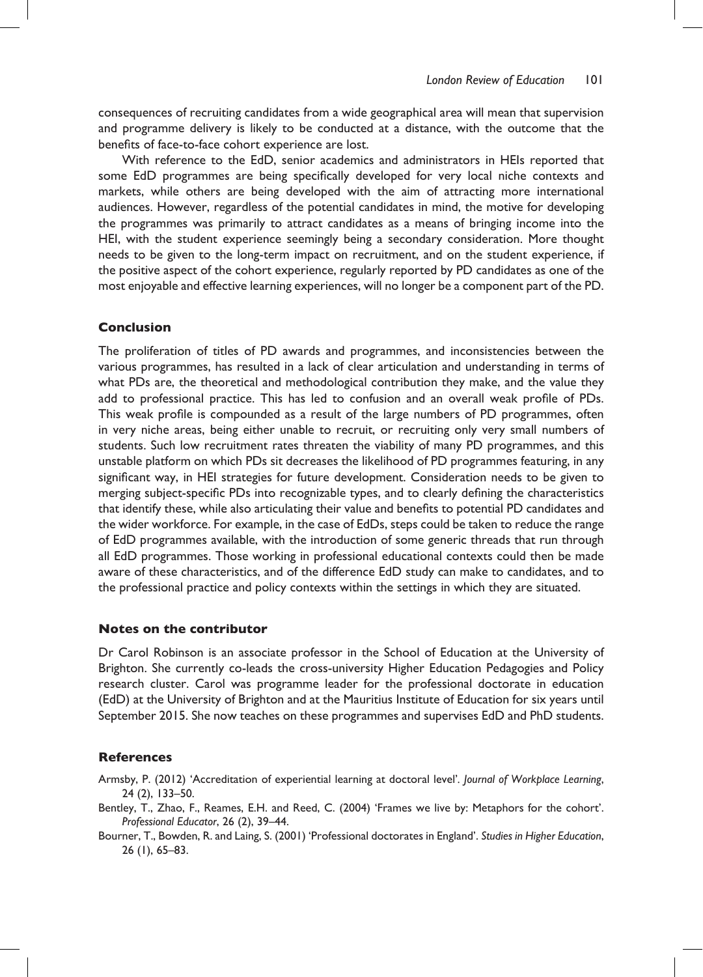consequences of recruiting candidates from a wide geographical area will mean that supervision and programme delivery is likely to be conducted at a distance, with the outcome that the benefits of face-to-face cohort experience are lost.

With reference to the EdD, senior academics and administrators in HEIs reported that some EdD programmes are being specifically developed for very local niche contexts and markets, while others are being developed with the aim of attracting more international audiences. However, regardless of the potential candidates in mind, the motive for developing the programmes was primarily to attract candidates as a means of bringing income into the HEI, with the student experience seemingly being a secondary consideration. More thought needs to be given to the long-term impact on recruitment, and on the student experience, if the positive aspect of the cohort experience, regularly reported by PD candidates as one of the most enjoyable and effective learning experiences, will no longer be a component part of the PD.

# **Conclusion**

The proliferation of titles of PD awards and programmes, and inconsistencies between the various programmes, has resulted in a lack of clear articulation and understanding in terms of what PDs are, the theoretical and methodological contribution they make, and the value they add to professional practice. This has led to confusion and an overall weak profile of PDs. This weak profile is compounded as a result of the large numbers of PD programmes, often in very niche areas, being either unable to recruit, or recruiting only very small numbers of students. Such low recruitment rates threaten the viability of many PD programmes, and this unstable platform on which PDs sit decreases the likelihood of PD programmes featuring, in any significant way, in HEI strategies for future development. Consideration needs to be given to merging subject-specific PDs into recognizable types, and to clearly defining the characteristics that identify these, while also articulating their value and benefits to potential PD candidates and the wider workforce. For example, in the case of EdDs, steps could be taken to reduce the range of EdD programmes available, with the introduction of some generic threads that run through all EdD programmes. Those working in professional educational contexts could then be made aware of these characteristics, and of the difference EdD study can make to candidates, and to the professional practice and policy contexts within the settings in which they are situated.

## **Notes on the contributor**

Dr Carol Robinson is an associate professor in the School of Education at the University of Brighton. She currently co-leads the cross-university Higher Education Pedagogies and Policy research cluster. Carol was programme leader for the professional doctorate in education (EdD) at the University of Brighton and at the Mauritius Institute of Education for six years until September 2015. She now teaches on these programmes and supervises EdD and PhD students.

# **References**

Armsby, P. (2012) 'Accreditation of experiential learning at doctoral level'*. Journal of Workplace Learning*, 24 (2), 133–50.

- Bentley, T., Zhao, F., Reames, E.H. and Reed, C. (2004) 'Frames we live by: Metaphors for the cohort'. *Professional Educator*, 26 (2), 39–44.
- Bourner, T., Bowden, R. and Laing, S. (2001) 'Professional doctorates in England'. *Studies in Higher Education*, 26 (1), 65–83.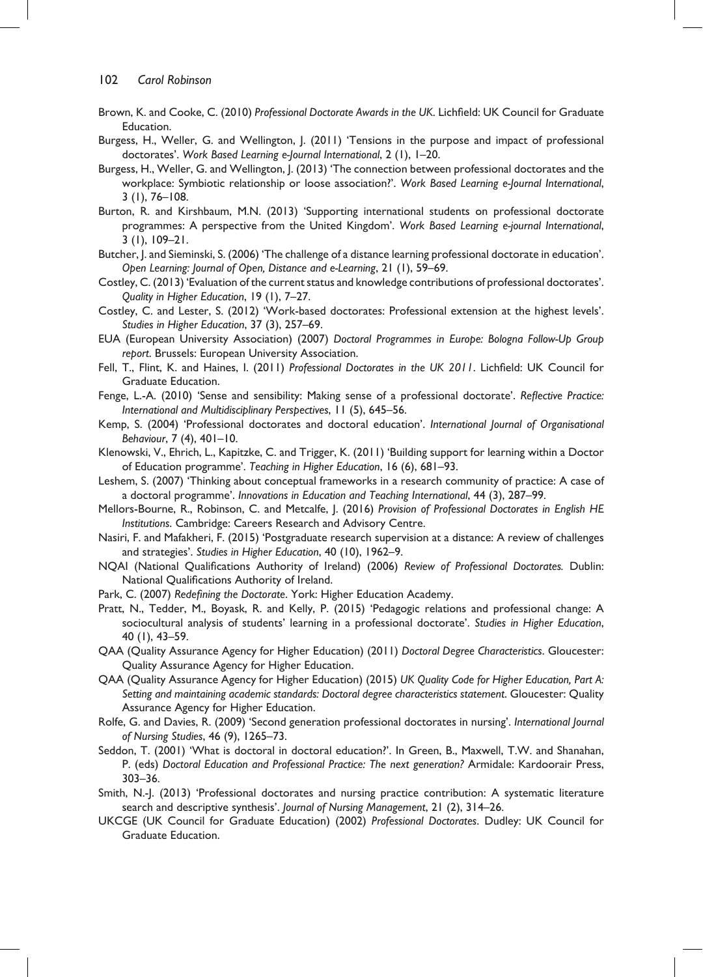- Brown, K. and Cooke, C. (2010) *Professional Doctorate Awards in the UK*. Lichfield: UK Council for Graduate Education.
- Burgess, H., Weller, G. and Wellington, J. (2011) 'Tensions in the purpose and impact of professional doctorates'. *Work Based Learning e-Journal International*, 2 (1), 1–20.
- Burgess, H., Weller, G. and Wellington, J. (2013) 'The connection between professional doctorates and the workplace: Symbiotic relationship or loose association?'. *Work Based Learning e-Journal International*, 3 (1), 76–108.
- Burton, R. and Kirshbaum, M.N. (2013) 'Supporting international students on professional doctorate programmes: A perspective from the United Kingdom'. *Work Based Learning e-journal International*, 3 (1), 109–21.
- Butcher, J. and Sieminski, S. (2006) 'The challenge of a distance learning professional doctorate in education'. *Open Learning: Journal of Open, Distance and e-Learning*, 21 (1), 59–69.
- Costley, C. (2013) 'Evaluation of the current status and knowledge contributions of professional doctorates'. *Quality in Higher Education*, 19 (1), 7–27.
- Costley, C. and Lester, S. (2012) 'Work-based doctorates: Professional extension at the highest levels'. *Studies in Higher Education*, 37 (3), 257–69.
- EUA (European University Association) (2007) *Doctoral Programmes in Europe: Bologna Follow-Up Group report*. Brussels: European University Association.
- Fell, T., Flint, K. and Haines, I. (2011) *Professional Doctorates in the UK 2011*. Lichfield: UK Council for Graduate Education.
- Fenge, L.-A. (2010) 'Sense and sensibility: Making sense of a professional doctorate'. *Reflective Practice: International and Multidisciplinary Perspectives*, 11 (5), 645–56.
- Kemp, S. (2004) 'Professional doctorates and doctoral education'. *International Journal of Organisational Behaviour*, 7 (4), 401–10.
- Klenowski, V., Ehrich, L., Kapitzke, C. and Trigger, K. (2011) 'Building support for learning within a Doctor of Education programme'. *Teaching in Higher Education*, 16 (6), 681–93.
- Leshem, S. (2007) 'Thinking about conceptual frameworks in a research community of practice: A case of a doctoral programme'. *Innovations in Education and Teaching International*, 44 (3), 287–99.
- Mellors-Bourne, R., Robinson, C. and Metcalfe, J. (2016) *Provision of Professional Doctorates in English HE Institutions*. Cambridge: Careers Research and Advisory Centre.
- Nasiri, F. and Mafakheri, F. (2015) 'Postgraduate research supervision at a distance: A review of challenges and strategies'. *Studies in Higher Education*, 40 (10), 1962–9.
- NQAI (National Qualifications Authority of Ireland) (2006) *Review of Professional Doctorates.* Dublin: National Qualifications Authority of Ireland.
- Park, C. (2007) *Redefining the Doctorate*. York: Higher Education Academy.
- Pratt, N., Tedder, M., Boyask, R. and Kelly, P. (2015) 'Pedagogic relations and professional change: A sociocultural analysis of students' learning in a professional doctorate'. *Studies in Higher Education*, 40 (1), 43–59.
- QAA (Quality Assurance Agency for Higher Education) (2011) *Doctoral Degree Characteristics*. Gloucester: Quality Assurance Agency for Higher Education.
- QAA (Quality Assurance Agency for Higher Education) (2015) *UK Quality Code for Higher Education, Part A: Setting and maintaining academic standards: Doctoral degree characteristics statement*. Gloucester: Quality Assurance Agency for Higher Education.
- Rolfe, G. and Davies, R. (2009) 'Second generation professional doctorates in nursing'. *International Journal of Nursing Studies*, 46 (9), 1265–73.
- Seddon, T. (2001) 'What is doctoral in doctoral education?'. In Green, B., Maxwell, T.W. and Shanahan, P. (eds) *Doctoral Education and Professional Practice: The next generation?* Armidale: Kardoorair Press, 303–36.
- Smith, N.-J. (2013) 'Professional doctorates and nursing practice contribution: A systematic literature search and descriptive synthesis'. *Journal of Nursing Management*, 21 (2), 314–26.
- UKCGE (UK Council for Graduate Education) (2002) *Professional Doctorates*. Dudley: UK Council for Graduate Education.